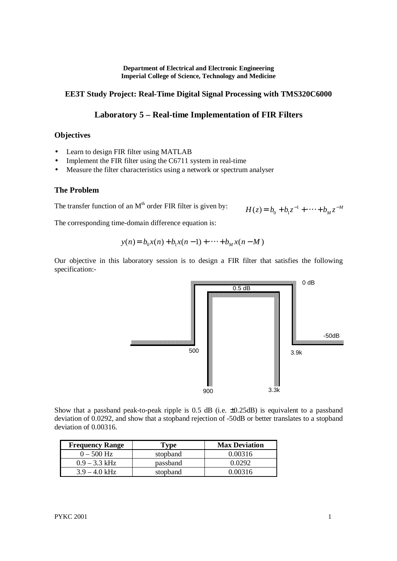**Department of Electrical and Electronic Engineering Imperial College of Science, Technology and Medicine**

## **EE3T Study Project: Real-Time Digital Signal Processing with TMS320C6000**

# **Laboratory 5 – Real-time Implementation of FIR Filters**

### **Objectives**

- Learn to design FIR filter using MATLAB
- Implement the FIR filter using the C6711 system in real-time
- Measure the filter characteristics using a network or spectrum analyser

### **The Problem**

The transfer function of an  $M<sup>th</sup>$  order FIR filter is given by:

$$
H(z) = b_0 + b_1 z^{-1} + \dots + b_M z^{-M}
$$

The corresponding time-domain difference equation is:

$$
y(n) = b_0 x(n) + b_1 x(n-1) + \dots + b_M x(n-M)
$$

Our objective in this laboratory session is to design a FIR filter that satisfies the following specification:-



Show that a passband peak-to-peak ripple is 0.5 dB (i.e. ±0.25dB) is equivalent to a passband deviation of 0.0292, and show that a stopband rejection of -50dB or better translates to a stopband deviation of 0.00316.

| <b>Frequency Range</b> | Type     | <b>Max Deviation</b> |
|------------------------|----------|----------------------|
| $0 - 500$ Hz           | stopband | 0.00316              |
| $0.9 - 3.3$ kHz        | passband | Ი ᲘᲔᲤᲔ               |
| $3.9 - 4.0$ kHz        | stopband | 0 00316              |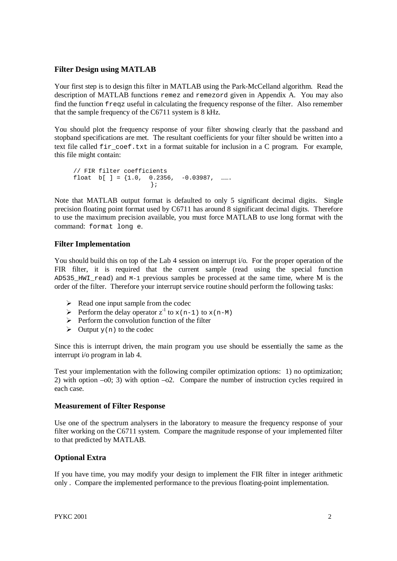## **Filter Design using MATLAB**

Your first step is to design this filter in MATLAB using the Park-McCelland algorithm. Read the description of MATLAB functions remez and remezord given in Appendix A. You may also find the function freqz useful in calculating the frequency response of the filter. Also remember that the sample frequency of the C6711 system is 8 kHz.

You should plot the frequency response of your filter showing clearly that the passband and stopband specifications are met. The resultant coefficients for your filter should be written into a text file called fir coef.txt in a format suitable for inclusion in a C program. For example, this file might contain:

```
// FIR filter coefficients
float b[ ] = \{1.0, 0.2356, -0.03987, ...};
```
Note that MATLAB output format is defaulted to only 5 significant decimal digits. Single precision floating point format used by C6711 has around 8 significant decimal digits. Therefore to use the maximum precision available, you must force MATLAB to use long format with the command: format long e.

## **Filter Implementation**

You should build this on top of the Lab 4 session on interrupt i/o. For the proper operation of the FIR filter, it is required that the current sample (read using the special function AD535 HWI read) and M-1 previous samples be processed at the same time, where M is the order of the filter. Therefore your interrupt service routine should perform the following tasks:

- $\triangleright$  Read one input sample from the codec
- Perform the delay operator  $z^{-1}$  to  $x(n-1)$  to  $x(n-M)$
- $\triangleright$  Perform the convolution function of the filter
- $\triangleright$  Output y(n) to the codec

Since this is interrupt driven, the main program you use should be essentially the same as the interrupt i/o program in lab 4.

Test your implementation with the following compiler optimization options: 1) no optimization; 2) with option  $-0$ ; 3) with option  $-0$ 2. Compare the number of instruction cycles required in each case.

### **Measurement of Filter Response**

Use one of the spectrum analysers in the laboratory to measure the frequency response of your filter working on the C6711 system. Compare the magnitude response of your implemented filter to that predicted by MATLAB.

## **Optional Extra**

If you have time, you may modify your design to implement the FIR filter in integer arithmetic only . Compare the implemented performance to the previous floating-point implementation.